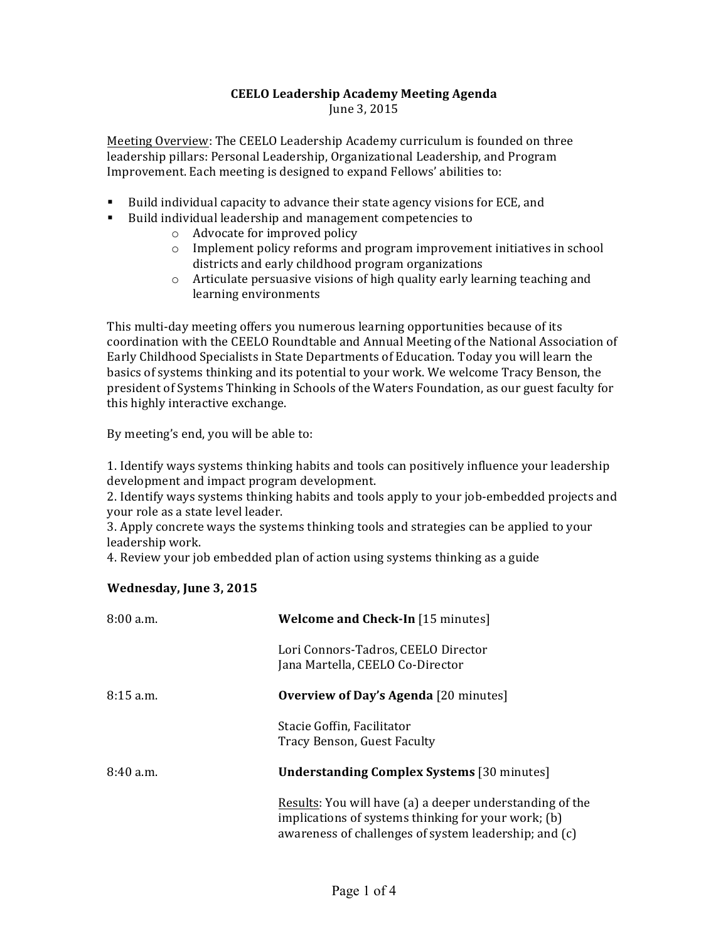## **CEELO Leadership Academy Meeting Agenda**

June 3, 2015

Meeting Overview: The CEELO Leadership Academy curriculum is founded on three leadership pillars: Personal Leadership, Organizational Leadership, and Program Improvement. Each meeting is designed to expand Fellows' abilities to:

- " Build individual capacity to advance their state agency visions for ECE, and
- Build individual leadership and management competencies to
	- $\circ$  Advocate for improved policy
	- $\circ$  Implement policy reforms and program improvement initiatives in school districts and early childhood program organizations
	- $\circ$  Articulate persuasive visions of high quality early learning teaching and learning environments

This multi-day meeting offers you numerous learning opportunities because of its coordination with the CEELO Roundtable and Annual Meeting of the National Association of Early Childhood Specialists in State Departments of Education. Today you will learn the basics of systems thinking and its potential to your work. We welcome Tracy Benson, the president of Systems Thinking in Schools of the Waters Foundation, as our guest faculty for this highly interactive exchange.

By meeting's end, you will be able to:

1. Identify ways systems thinking habits and tools can positively influence your leadership development and impact program development.

2. Identify ways systems thinking habits and tools apply to your job-embedded projects and your role as a state level leader.

3. Apply concrete ways the systems thinking tools and strategies can be applied to your leadership work.

4. Review your job embedded plan of action using systems thinking as a guide

## Wednesday, June 3, 2015

| $8:00$ a.m. | <b>Welcome and Check-In</b> [15 minutes]                                                                                                                                 |
|-------------|--------------------------------------------------------------------------------------------------------------------------------------------------------------------------|
|             | Lori Connors-Tadros, CEELO Director<br>Jana Martella, CEELO Co-Director                                                                                                  |
| $8:15$ a.m. | <b>Overview of Day's Agenda</b> [20 minutes]                                                                                                                             |
|             | Stacie Goffin, Facilitator<br>Tracy Benson, Guest Faculty                                                                                                                |
| $8:40$ a.m. | <b>Understanding Complex Systems</b> [30 minutes]                                                                                                                        |
|             | Results: You will have (a) a deeper understanding of the<br>implications of systems thinking for your work; (b)<br>awareness of challenges of system leadership; and (c) |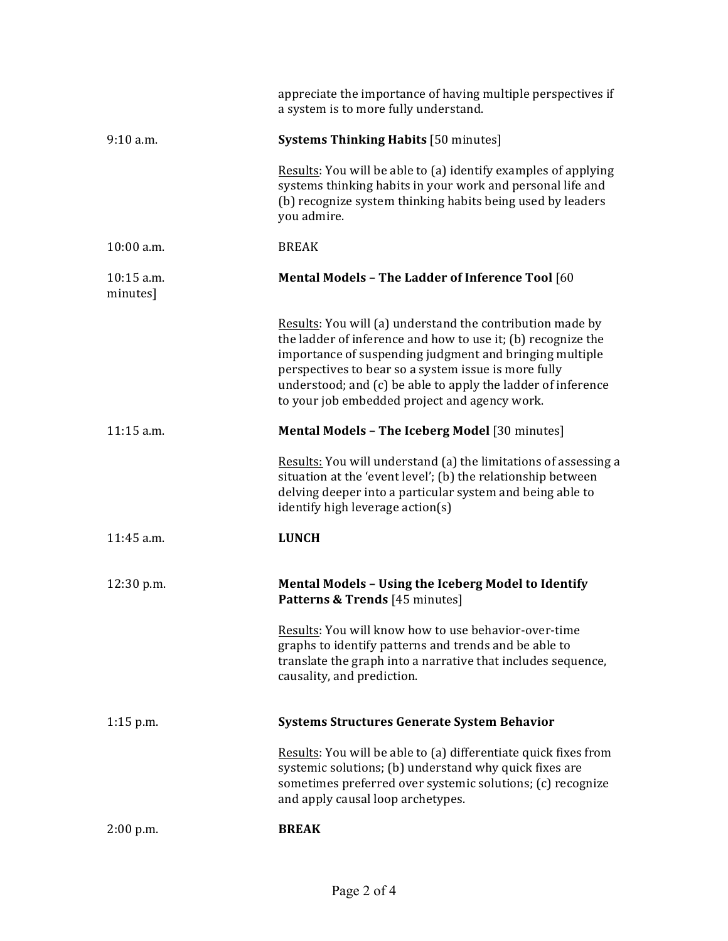|                        | appreciate the importance of having multiple perspectives if<br>a system is to more fully understand.                                                                                                                                                                                                                                                         |
|------------------------|---------------------------------------------------------------------------------------------------------------------------------------------------------------------------------------------------------------------------------------------------------------------------------------------------------------------------------------------------------------|
| 9:10 a.m.              | <b>Systems Thinking Habits [50 minutes]</b>                                                                                                                                                                                                                                                                                                                   |
|                        | Results: You will be able to (a) identify examples of applying<br>systems thinking habits in your work and personal life and<br>(b) recognize system thinking habits being used by leaders<br>you admire.                                                                                                                                                     |
| 10:00 a.m.             | <b>BREAK</b>                                                                                                                                                                                                                                                                                                                                                  |
| 10:15 a.m.<br>minutes] | Mental Models - The Ladder of Inference Tool [60                                                                                                                                                                                                                                                                                                              |
|                        | Results: You will (a) understand the contribution made by<br>the ladder of inference and how to use it; (b) recognize the<br>importance of suspending judgment and bringing multiple<br>perspectives to bear so a system issue is more fully<br>understood; and (c) be able to apply the ladder of inference<br>to your job embedded project and agency work. |
| 11:15 a.m.             | Mental Models - The Iceberg Model [30 minutes]                                                                                                                                                                                                                                                                                                                |
|                        | Results: You will understand (a) the limitations of assessing a<br>situation at the 'event level'; (b) the relationship between<br>delving deeper into a particular system and being able to<br>identify high leverage action(s)                                                                                                                              |
| 11:45 a.m.             | <b>LUNCH</b>                                                                                                                                                                                                                                                                                                                                                  |
| 12:30 p.m.             | Mental Models - Using the Iceberg Model to Identify<br>Patterns & Trends [45 minutes]                                                                                                                                                                                                                                                                         |
|                        | Results: You will know how to use behavior-over-time<br>graphs to identify patterns and trends and be able to<br>translate the graph into a narrative that includes sequence,<br>causality, and prediction.                                                                                                                                                   |
| $1:15$ p.m.            | <b>Systems Structures Generate System Behavior</b>                                                                                                                                                                                                                                                                                                            |
|                        | Results: You will be able to (a) differentiate quick fixes from<br>systemic solutions; (b) understand why quick fixes are<br>sometimes preferred over systemic solutions; (c) recognize<br>and apply causal loop archetypes.                                                                                                                                  |
| 2:00 p.m.              | <b>BREAK</b>                                                                                                                                                                                                                                                                                                                                                  |
|                        |                                                                                                                                                                                                                                                                                                                                                               |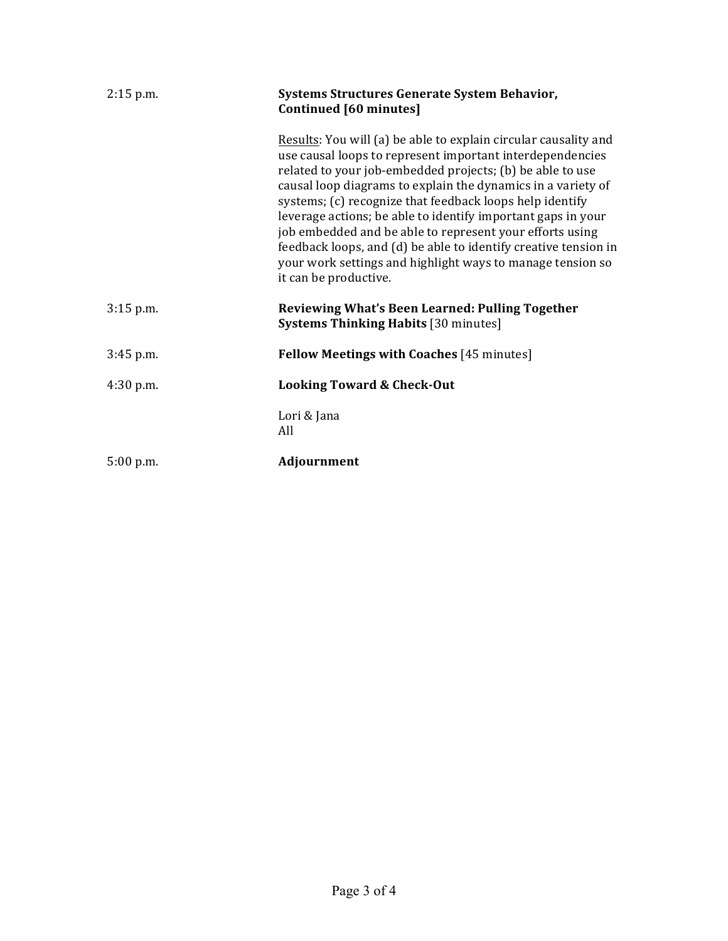| $2:15$ p.m. | Systems Structures Generate System Behavior,<br>Continued [60 minutes]                                                                                                                                                                                                                                                                                                                                                                                                                                                                                                                                      |
|-------------|-------------------------------------------------------------------------------------------------------------------------------------------------------------------------------------------------------------------------------------------------------------------------------------------------------------------------------------------------------------------------------------------------------------------------------------------------------------------------------------------------------------------------------------------------------------------------------------------------------------|
|             | Results: You will (a) be able to explain circular causality and<br>use causal loops to represent important interdependencies<br>related to your job-embedded projects; (b) be able to use<br>causal loop diagrams to explain the dynamics in a variety of<br>systems; (c) recognize that feedback loops help identify<br>leverage actions; be able to identify important gaps in your<br>job embedded and be able to represent your efforts using<br>feedback loops, and (d) be able to identify creative tension in<br>your work settings and highlight ways to manage tension so<br>it can be productive. |
| $3:15$ p.m. | Reviewing What's Been Learned: Pulling Together<br><b>Systems Thinking Habits [30 minutes]</b>                                                                                                                                                                                                                                                                                                                                                                                                                                                                                                              |
| $3:45$ p.m. | <b>Fellow Meetings with Coaches [45 minutes]</b>                                                                                                                                                                                                                                                                                                                                                                                                                                                                                                                                                            |
| $4:30$ p.m. | <b>Looking Toward &amp; Check-Out</b>                                                                                                                                                                                                                                                                                                                                                                                                                                                                                                                                                                       |
|             | Lori & Jana<br>All                                                                                                                                                                                                                                                                                                                                                                                                                                                                                                                                                                                          |
| 5:00 p.m.   | Adjournment                                                                                                                                                                                                                                                                                                                                                                                                                                                                                                                                                                                                 |